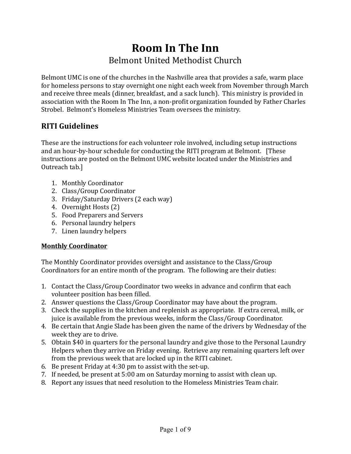# **Room In The Inn** Belmont United Methodist Church

Belmont UMC is one of the churches in the Nashville area that provides a safe, warm place for homeless persons to stay overnight one night each week from November through March and receive three meals (dinner, breakfast, and a sack lunch). This ministry is provided in association with the Room In The Inn, a non-profit organization founded by Father Charles Strobel. Belmont's Homeless Ministries Team oversees the ministry.

### **RITI Guidelines**

These are the instructions for each volunteer role involved, including setup instructions and an hour-by-hour schedule for conducting the RITI program at Belmont. [These instructions are posted on the Belmont UMC website located under the Ministries and Outreach tab.]

- 1. Monthly Coordinator
- 2. Class/Group Coordinator
- 3. Friday/Saturday Drivers (2 each way)
- 4. Overnight Hosts (2)
- 5. Food Preparers and Servers
- 6. Personal laundry helpers
- 7. Linen laundry helpers

### **Monthly Coordinator**

The Monthly Coordinator provides oversight and assistance to the Class/Group Coordinators for an entire month of the program. The following are their duties:

- 1. Contact the Class/Group Coordinator two weeks in advance and confirm that each volunteer position has been filled.
- 2. Answer questions the Class/Group Coordinator may have about the program.
- 3. Check the supplies in the kitchen and replenish as appropriate. If extra cereal, milk, or juice is available from the previous weeks, inform the Class/Group Coordinator.
- 4. Be certain that Angie Slade has been given the name of the drivers by Wednesday of the week they are to drive.
- 5. Obtain \$40 in quarters for the personal laundry and give those to the Personal Laundry Helpers when they arrive on Friday evening. Retrieve any remaining quarters left over from the previous week that are locked up in the RITI cabinet.
- 6. Be present Friday at  $4:30$  pm to assist with the set-up.
- 7. If needed, be present at 5:00 am on Saturday morning to assist with clean up.
- 8. Report any issues that need resolution to the Homeless Ministries Team chair.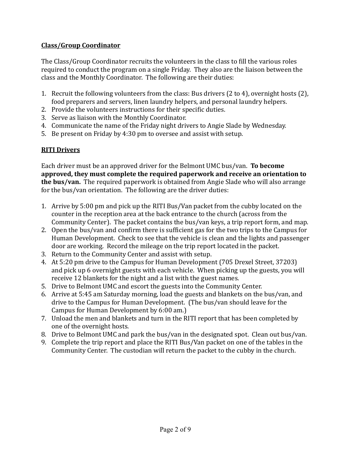#### **Class/Group Coordinator**

The Class/Group Coordinator recruits the volunteers in the class to fill the various roles required to conduct the program on a single Friday. They also are the liaison between the class and the Monthly Coordinator. The following are their duties:

- 1. Recruit the following volunteers from the class: Bus drivers  $(2 \text{ to } 4)$ , overnight hosts  $(2)$ , food preparers and servers, linen laundry helpers, and personal laundry helpers.
- 2. Provide the volunteers instructions for their specific duties.
- 3. Serve as liaison with the Monthly Coordinator.
- 4. Communicate the name of the Friday night drivers to Angie Slade by Wednesday.
- 5. Be present on Friday by 4:30 pm to oversee and assist with setup.

#### **RITI Drivers**

Each driver must be an approved driver for the Belmont UMC bus/van. **To become** approved, they must complete the required paperwork and receive an orientation to **the bus/van.** The required paperwork is obtained from Angie Slade who will also arrange for the bus/van orientation. The following are the driver duties:

- 1. Arrive by 5:00 pm and pick up the RITI Bus/Van packet from the cubby located on the counter in the reception area at the back entrance to the church (across from the Community Center). The packet contains the bus/van keys, a trip report form, and map.
- 2. Open the bus/van and confirm there is sufficient gas for the two trips to the Campus for Human Development. Check to see that the vehicle is clean and the lights and passenger door are working. Record the mileage on the trip report located in the packet.
- 3. Return to the Community Center and assist with setup.
- 4. At 5:20 pm drive to the Campus for Human Development (705 Drexel Street, 37203) and pick up 6 overnight guests with each vehicle. When picking up the guests, you will receive 12 blankets for the night and a list with the guest names.
- 5. Drive to Belmont UMC and escort the guests into the Community Center.
- 6. Arrive at 5:45 am Saturday morning, load the guests and blankets on the bus/van, and drive to the Campus for Human Development. (The bus/van should leave for the Campus for Human Development by 6:00 am.)
- 7. Unload the men and blankets and turn in the RITI report that has been completed by one of the overnight hosts.
- 8. Drive to Belmont UMC and park the bus/van in the designated spot. Clean out bus/van.
- 9. Complete the trip report and place the RITI Bus/Van packet on one of the tables in the Community Center. The custodian will return the packet to the cubby in the church.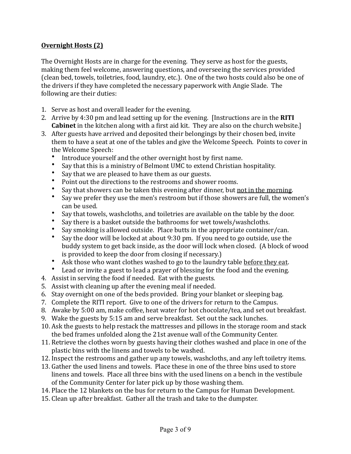#### **Overnight Hosts (2)**

The Overnight Hosts are in charge for the evening. They serve as host for the guests, making them feel welcome, answering questions, and overseeing the services provided (clean bed, towels, toiletries, food, laundry, etc.). One of the two hosts could also be one of the drivers if they have completed the necessary paperwork with Angie Slade. The following are their duties:

- 1. Serve as host and overall leader for the evening.
- 2. Arrive by 4:30 pm and lead setting up for the evening. [Instructions are in the **RITI Cabinet** in the kitchen along with a first aid kit. They are also on the church website.]
- 3. After guests have arrived and deposited their belongings by their chosen bed, invite them to have a seat at one of the tables and give the Welcome Speech. Points to cover in the Welcome Speech:
	- Introduce yourself and the other overnight host by first name.
	- Say that this is a ministry of Belmont UMC to extend Christian hospitality.
	- Say that we are pleased to have them as our guests.
	- Point out the directions to the restrooms and shower rooms.
	- Say that showers can be taken this evening after dinner, but not in the morning.
	- Say we prefer they use the men's restroom but if those showers are full, the women's can be used.
	- Say that towels, washcloths, and toiletries are available on the table by the door.
	- Say there is a basket outside the bathrooms for wet towels/washcloths.
	- Say smoking is allowed outside. Place butts in the appropriate container/can.
	- Say the door will be locked at about  $9:30$  pm. If you need to go outside, use the buddy system to get back inside, as the door will lock when closed. (A block of wood is provided to keep the door from closing if necessary.)
	- Ask those who want clothes washed to go to the laundry table before they eat.
	- Lead or invite a guest to lead a prayer of blessing for the food and the evening.
- 4. Assist in serving the food if needed. Eat with the guests.
- 5. Assist with cleaning up after the evening meal if needed.
- 6. Stay overnight on one of the beds provided. Bring your blanket or sleeping bag.
- 7. Complete the RITI report. Give to one of the drivers for return to the Campus.
- 8. Awake by 5:00 am, make coffee, heat water for hot chocolate/tea, and set out breakfast.
- 9. Wake the guests by 5:15 am and serve breakfast. Set out the sack lunches.
- 10. Ask the guests to help restack the mattresses and pillows in the storage room and stack the bed frames unfolded along the 21st avenue wall of the Community Center.
- 11. Retrieve the clothes worn by guests having their clothes washed and place in one of the plastic bins with the linens and towels to be washed.
- 12. Inspect the restrooms and gather up any towels, washcloths, and any left toiletry items.
- 13. Gather the used linens and towels. Place these in one of the three bins used to store linens and towels. Place all three bins with the used linens on a bench in the vestibule of the Community Center for later pick up by those washing them.
- 14. Place the 12 blankets on the bus for return to the Campus for Human Development.
- 15. Clean up after breakfast. Gather all the trash and take to the dumpster.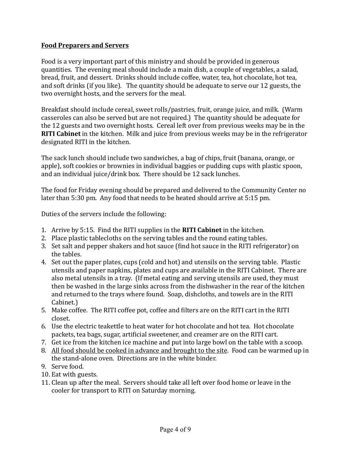#### **Food Preparers and Servers**

Food is a very important part of this ministry and should be provided in generous quantities. The evening meal should include a main dish, a couple of vegetables, a salad, bread, fruit, and dessert. Drinks should include coffee, water, tea, hot chocolate, hot tea, and soft drinks (if you like). The quantity should be adequate to serve our 12 guests, the two overnight hosts, and the servers for the meal.

Breakfast should include cereal, sweet rolls/pastries, fruit, orange juice, and milk. (Warm casseroles can also be served but are not required.) The quantity should be adequate for the 12 guests and two overnight hosts. Cereal left over from previous weeks may be in the **RITI Cabinet** in the kitchen. Milk and juice from previous weeks may be in the refrigerator designated RITI in the kitchen.

The sack lunch should include two sandwiches, a bag of chips, fruit (banana, orange, or apple), soft cookies or brownies in individual baggies or pudding cups with plastic spoon, and an individual juice/drink box. There should be 12 sack lunches.

The food for Friday evening should be prepared and delivered to the Community Center no later than  $5:30$  pm. Any food that needs to be heated should arrive at  $5:15$  pm.

Duties of the servers include the following:

- 1. Arrive by 5:15. Find the RITI supplies in the **RITI Cabinet** in the kitchen.
- 2. Place plastic tablecloths on the serving tables and the round eating tables.
- 3. Set salt and pepper shakers and hot sauce (find hot sauce in the RITI refrigerator) on the tables.
- 4. Set out the paper plates, cups (cold and hot) and utensils on the serving table. Plastic utensils and paper napkins, plates and cups are available in the RITI Cabinet. There are also metal utensils in a tray. (If metal eating and serving utensils are used, they must then be washed in the large sinks across from the dishwasher in the rear of the kitchen and returned to the trays where found. Soap, dishcloths, and towels are in the RITI Cabinet.)
- 5. Make coffee. The RITI coffee pot, coffee and filters are on the RITI cart in the RITI closet.
- 6. Use the electric teakettle to heat water for hot chocolate and hot tea. Hot chocolate packets, tea bags, sugar, artificial sweetener, and creamer are on the RITI cart.
- 7. Get ice from the kitchen ice machine and put into large bowl on the table with a scoop.
- 8. All food should be cooked in advance and brought to the site. Food can be warmed up in the stand-alone oven. Directions are in the white binder.
- 9. Serve food.
- 10. Eat with guests.
- 11. Clean up after the meal. Servers should take all left over food home or leave in the cooler for transport to RITI on Saturday morning.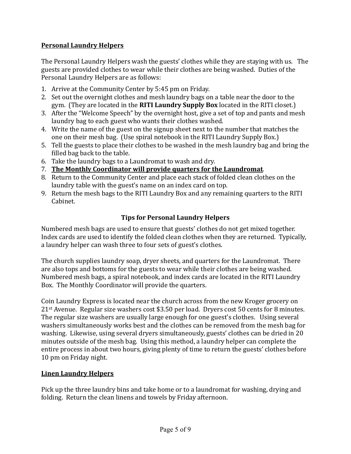#### **Personal Laundry Helpers**

The Personal Laundry Helpers wash the guests' clothes while they are staying with us. The guests are provided clothes to wear while their clothes are being washed. Duties of the Personal Laundry Helpers are as follows:

- 1. Arrive at the Community Center by 5:45 pm on Friday.
- 2. Set out the overnight clothes and mesh laundry bags on a table near the door to the gym. (They are located in the **RITI Laundry Supply Box** located in the RITI closet.)
- 3. After the "Welcome Speech" by the overnight host, give a set of top and pants and mesh laundry bag to each guest who wants their clothes washed.
- 4. Write the name of the guest on the signup sheet next to the number that matches the one on their mesh bag. (Use spiral notebook in the RITI Laundry Supply Box.)
- 5. Tell the guests to place their clothes to be washed in the mesh laundry bag and bring the filled bag back to the table.
- 6. Take the laundry bags to a Laundromat to wash and dry.
- 7. The Monthly Coordinator will provide quarters for the Laundromat.
- 8. Return to the Community Center and place each stack of folded clean clothes on the laundry table with the guest's name on an index card on top.
- 9. Return the mesh bags to the RITI Laundry Box and any remaining quarters to the RITI Cabinet.

#### **Tips for Personal Laundry Helpers**

Numbered mesh bags are used to ensure that guests' clothes do not get mixed together. Index cards are used to identify the folded clean clothes when they are returned. Typically, a laundry helper can wash three to four sets of guest's clothes.

The church supplies laundry soap, dryer sheets, and quarters for the Laundromat. There are also tops and bottoms for the guests to wear while their clothes are being washed. Numbered mesh bags, a spiral notebook, and index cards are located in the RITI Laundry Box. The Monthly Coordinator will provide the quarters.

Coin Laundry Express is located near the church across from the new Kroger grocery on  $21$ <sup>st</sup> Avenue. Regular size washers cost \$3.50 per load. Dryers cost 50 cents for 8 minutes. The regular size washers are usually large enough for one guest's clothes. Using several washers simultaneously works best and the clothes can be removed from the mesh bag for washing. Likewise, using several dryers simultaneously, guests' clothes can be dried in 20 minutes outside of the mesh bag. Using this method, a laundry helper can complete the entire process in about two hours, giving plenty of time to return the guests' clothes before 10 pm on Friday night.

#### **Linen Laundry Helpers**

Pick up the three laundry bins and take home or to a laundromat for washing, drying and folding. Return the clean linens and towels by Friday afternoon.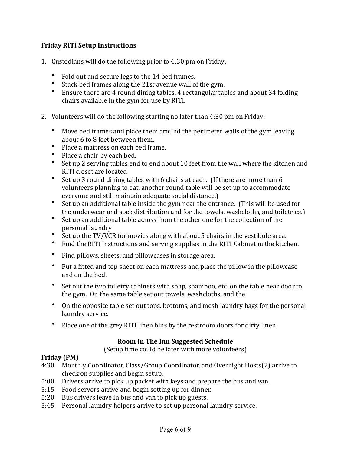#### **Friday RITI Setup Instructions**

- 1. Custodians will do the following prior to  $4:30$  pm on Friday:
	- Fold out and secure legs to the 14 bed frames.
	- Stack bed frames along the 21st avenue wall of the gym.
	- Ensure there are 4 round dining tables, 4 rectangular tables and about 34 folding chairs available in the gym for use by RITI.
- 2. Volunteers will do the following starting no later than 4:30 pm on Friday:
	- Move bed frames and place them around the perimeter walls of the gym leaving about 6 to 8 feet between them.
	- Place a mattress on each hed frame.
	- Place a chair by each bed.
	- Set up 2 serving tables end to end about 10 feet from the wall where the kitchen and RITI closet are located
	- Set up 3 round dining tables with 6 chairs at each. (If there are more than 6 volunteers planning to eat, another round table will be set up to accommodate everyone and still maintain adequate social distance.)
	- Set up an additional table inside the gym near the entrance. (This will be used for the underwear and sock distribution and for the towels, washcloths, and toiletries.)
	- Set up an additional table across from the other one for the collection of the personal laundry
	- Set up the TV/VCR for movies along with about 5 chairs in the vestibule area.
	- Find the RITI Instructions and serving supplies in the RITI Cabinet in the kitchen.
	- Find pillows, sheets, and pillowcases in storage area.
	- Put a fitted and top sheet on each mattress and place the pillow in the pillowcase and on the bed.
	- Set out the two toiletry cabinets with soap, shampoo, etc. on the table near door to the gym. On the same table set out towels, washcloths, and the
	- On the opposite table set out tops, bottoms, and mesh laundry bags for the personal laundry service.
	- Place one of the grey RITI linen bins by the restroom doors for dirty linen.

#### **Room In The Inn Suggested Schedule**

(Setup time could be later with more volunteers)

#### **Friday** (PM)

- 4:30 Monthly Coordinator, Class/Group Coordinator, and Overnight Hosts(2) arrive to check on supplies and begin setup.
- 5:00 Drivers arrive to pick up packet with keys and prepare the bus and van.
- 5:15 Food servers arrive and begin setting up for dinner.
- 5:20 Bus drivers leave in bus and van to pick up guests.
- 5:45 Personal laundry helpers arrive to set up personal laundry service.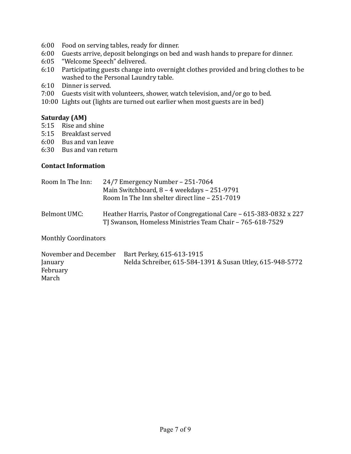- 6:00 Food on serving tables, ready for dinner.
- 6:00 Guests arrive, deposit belongings on bed and wash hands to prepare for dinner.
- 6:05 "Welcome Speech" delivered.
- 6:10 Participating guests change into overnight clothes provided and bring clothes to be washed to the Personal Laundry table.
- 6:10 Dinner is served.
- 7:00 Guests visit with volunteers, shower, watch television, and/or go to bed.
- 10:00 Lights out (lights are turned out earlier when most guests are in bed)

#### **Saturday** (AM)

- 5:15 Rise and shine
- 5:15 Breakfast served
- 6:00 Bus and van leave
- 6:30 Bus and van return

#### **Contact Information**

| Room In The Inn: | $24/7$ Emergency Number – 251-7064<br>Main Switchboard, 8 - 4 weekdays - 251-9791<br>Room In The Inn shelter direct line - 251-7019 |
|------------------|-------------------------------------------------------------------------------------------------------------------------------------|
| Belmont UMC:     | Heather Harris, Pastor of Congregational Care – 615-383-0832 x 227<br>TJ Swanson, Homeless Ministries Team Chair – 765-618-7529     |

Monthly Coordinators

| November and December | Bart Perkey, 615-613-1915                                 |
|-----------------------|-----------------------------------------------------------|
| January               | Nelda Schreiber, 615-584-1391 & Susan Utley, 615-948-5772 |
| February              |                                                           |
| March                 |                                                           |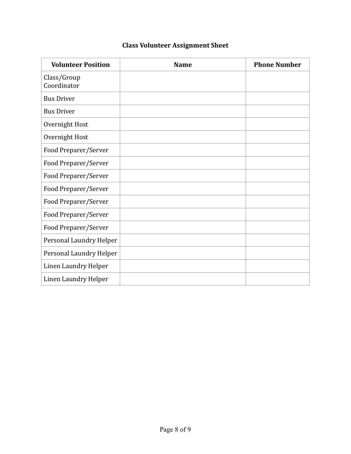## **Class Volunteer Assignment Sheet**

| <b>Volunteer Position</b>  | <b>Name</b> | <b>Phone Number</b> |
|----------------------------|-------------|---------------------|
| Class/Group<br>Coordinator |             |                     |
| <b>Bus Driver</b>          |             |                     |
| <b>Bus Driver</b>          |             |                     |
| Overnight Host             |             |                     |
| Overnight Host             |             |                     |
| Food Preparer/Server       |             |                     |
| Food Preparer/Server       |             |                     |
| Food Preparer/Server       |             |                     |
| Food Preparer/Server       |             |                     |
| Food Preparer/Server       |             |                     |
| Food Preparer/Server       |             |                     |
| Food Preparer/Server       |             |                     |
| Personal Laundry Helper    |             |                     |
| Personal Laundry Helper    |             |                     |
| Linen Laundry Helper       |             |                     |
| Linen Laundry Helper       |             |                     |